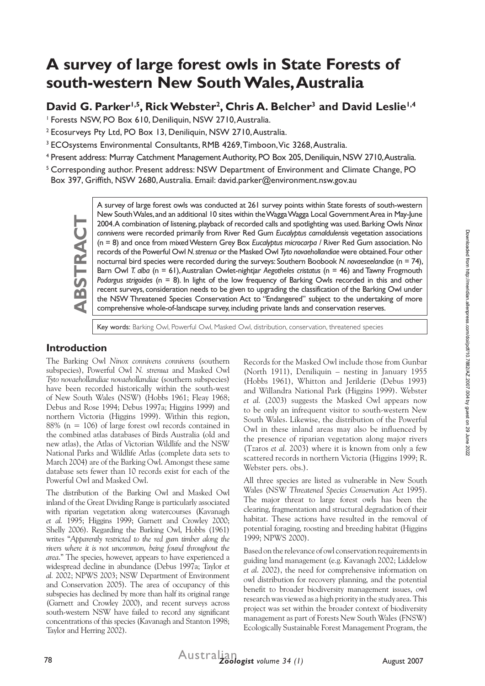# **A survey of large forest owls in State Forests of south-western New South Wales, Australia**

David G. Parker<sup>1,5</sup>, Rick Webster<sup>2</sup>, Chris A. Belcher<sup>3</sup> and David Leslie<sup>1,4</sup>

<sup>1</sup> Forests NSW, PO Box 610, Deniliquin, NSW 2710, Australia.

<sup>2</sup> Ecosurveys Pty Ltd, PO Box 13, Deniliquin, NSW 2710, Australia.

<sup>3</sup> ECOsystems Environmental Consultants, RMB 4269, Timboon, Vic 3268, Australia.

<sup>4</sup> Present address: Murray Catchment Management Authority, PO Box 205, Deniliquin, NSW 2710, Australia.

<sup>5</sup> Corresponding author. Present address: NSW Department of Environment and Climate Change, PO Box 397, Griffith, NSW 2680, Australia. Email: david.parker@environment.nsw.gov.au



A survey of large forest owls was conducted at 261 survey points within State forests of south-western New South Wales, and an additional 10 sites within the Wagga Wagga Local Government Area in May-June 2004. A combination of listening, playback of recorded calls and spotlighting was used. Barking Owls *Ninox connivens* were recorded primarily from River Red Gum *Eucalyptus camaldulensis* vegetation associations (n = 8) and once from mixed Western Grey Box *Eucalyptus microcarpa /* River Red Gum association. No records of the Powerful Owl *N. strenua* or the Masked Owl *Tyto novaehollandiae* were obtained. Four other nocturnal bird species were recorded during the surveys: Southern Boobook *N. novaeseelandiae* (n = 74), Barn Owl *T. alba* (n = 61), Australian Owlet-nightjar *Aegotheles cristatus* (n = 46) and Tawny Frogmouth *Podargus strigoides* (n = 8). In light of the low frequency of Barking Owls recorded in this and other recent surveys, consideration needs to be given to upgrading the classification of the Barking Owl under the NSW Threatened Species Conservation Act to "Endangered" subject to the undertaking of more comprehensive whole-of-landscape survey, including private lands and conservation reserves.

Key words: Barking Owl, Powerful Owl, Masked Owl, distribution, conservation, threatened species

# **Introduction**

The Barking Owl *Ninox connivens connivens* (southern subspecies), Powerful Owl *N. strenua* and Masked Owl *Tyto novaehollandiae novaehollandiae* (southern subspecies) have been recorded historically within the south-west of New South Wales (NSW) (Hobbs 1961; Fleay 1968; Debus and Rose 1994; Debus 1997a; Higgins 1999) and northern Victoria (Higgins 1999). Within this region, 88% (n = 106) of large forest owl records contained in the combined atlas databases of Birds Australia (old and new atlas), the Atlas of Victorian Wildlife and the NSW National Parks and Wildlife Atlas (complete data sets to March 2004) are of the Barking Owl. Amongst these same database sets fewer than 10 records exist for each of the Powerful Owl and Masked Owl.

The distribution of the Barking Owl and Masked Owl inland of the Great Dividing Range is particularly associated with riparian vegetation along watercourses (Kavanagh *et al.* 1995; Higgins 1999; Garnett and Crowley 2000; Shelly 2006). Regarding the Barking Owl, Hobbs (1961) writes "*Apparently restricted to the red gum timber along the rivers where it is not uncommon, being found throughout the area*." The species, however, appears to have experienced a widespread decline in abundance (Debus 1997a; Taylor *et al.* 2002; NPWS 2003; NSW Department of Environment and Conservation 2005). The area of occupancy of this subspecies has declined by more than half its original range (Garnett and Crowley 2000), and recent surveys across south-western NSW have failed to record any significant concentrations of this species (Kavanagh and Stanton 1998; Taylor and Herring 2002).

Records for the Masked Owl include those from Gunbar (North 1911), Deniliquin – nesting in January 1955 (Hobbs 1961), Whitton and Jerilderie (Debus 1993) and Willandra National Park (Higgins 1999). Webster *et al.* (2003) suggests the Masked Owl appears now to be only an infrequent visitor to south-western New South Wales. Likewise, the distribution of the Powerful Owl in these inland areas may also be influenced by the presence of riparian vegetation along major rivers (Tzaros *et al.* 2003) where it is known from only a few scattered records in northern Victoria (Higgins 1999; R. Webster pers. obs.).

All three species are listed as vulnerable in New South Wales (NSW *Threatened Species Conservation Act* 1995). The major threat to large forest owls has been the clearing, fragmentation and structural degradation of their habitat. These actions have resulted in the removal of potential foraging, roosting and breeding habitat (Higgins 1999; NPWS 2000).

Based on the relevance of owl conservation requirements in guiding land management (e.g. Kavanagh 2002; Liddelow *et al*. 2002), the need for comprehensive information on owl distribution for recovery planning, and the potential benefit to broader biodiversity management issues, owl research was viewed as a high priority in the study area. This project was set within the broader context of biodiversity management as part of Forests New South Wales (FNSW) Ecologically Sustainable Forest Management Program, the

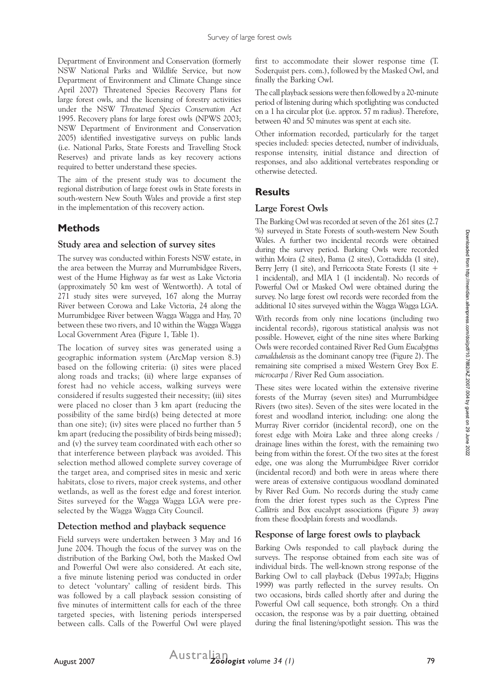Department of Environment and Conservation (formerly NSW National Parks and Wildlife Service, but now Department of Environment and Climate Change since April 2007) Threatened Species Recovery Plans for large forest owls, and the licensing of forestry activities under the NSW *Threatened Species Conservation Act*  1995. Recovery plans for large forest owls (NPWS 2003; NSW Department of Environment and Conservation 2005) identified investigative surveys on public lands (i.e. National Parks, State Forests and Travelling Stock Reserves) and private lands as key recovery actions required to better understand these species.

The aim of the present study was to document the regional distribution of large forest owls in State forests in south-western New South Wales and provide a first step in the implementation of this recovery action.

# **Methods**

#### **Study area and selection of survey sites**

The survey was conducted within Forests NSW estate, in the area between the Murray and Murrumbidgee Rivers, west of the Hume Highway as far west as Lake Victoria (approximately 50 km west of Wentworth). A total of 271 study sites were surveyed, 167 along the Murray River between Corowa and Lake Victoria, 24 along the Murrumbidgee River between Wagga Wagga and Hay, 70 between these two rivers, and 10 within the Wagga Wagga Local Government Area (Figure 1, Table 1).

The location of survey sites was generated using a geographic information system (ArcMap version 8.3) based on the following criteria: (i) sites were placed along roads and tracks; (ii) where large expanses of forest had no vehicle access, walking surveys were considered if results suggested their necessity; (iii) sites were placed no closer than 3 km apart (reducing the possibility of the same bird(s) being detected at more than one site); (iv) sites were placed no further than 5 km apart (reducing the possibility of birds being missed); and (v) the survey team coordinated with each other so that interference between playback was avoided. This selection method allowed complete survey coverage of the target area, and comprised sites in mesic and xeric habitats, close to rivers, major creek systems, and other wetlands, as well as the forest edge and forest interior. Sites surveyed for the Wagga Wagga LGA were preselected by the Wagga Wagga City Council.

#### **Detection method and playback sequence**

Field surveys were undertaken between 3 May and 16 June 2004. Though the focus of the survey was on the distribution of the Barking Owl, both the Masked Owl and Powerful Owl were also considered. At each site, a five minute listening period was conducted in order to detect 'voluntary' calling of resident birds. This was followed by a call playback session consisting of five minutes of intermittent calls for each of the three targeted species, with listening periods interspersed between calls. Calls of the Powerful Owl were played

first to accommodate their slower response time (T. Soderquist pers. com.), followed by the Masked Owl, and finally the Barking Owl.

The call playback sessions were then followed by a 20-minute period of listening during which spotlighting was conducted on a 1 ha circular plot (i.e. approx. 57 m radius). Therefore, between 40 and 50 minutes was spent at each site.

Other information recorded, particularly for the target species included: species detected, number of individuals, response intensity, initial distance and direction of responses, and also additional vertebrates responding or otherwise detected.

# **Results**

#### **Large Forest Owls**

The Barking Owl was recorded at seven of the 261 sites (2.7 %) surveyed in State Forests of south-western New South Wales. A further two incidental records were obtained during the survey period. Barking Owls were recorded within Moira (2 sites), Bama (2 sites), Cottadidda (1 site), Berry Jerry (1 site), and Perricoota State Forests (1 site + 1 incidental), and MIA 1 (1 incidental). No records of Powerful Owl or Masked Owl were obtained during the survey. No large forest owl records were recorded from the additional 10 sites surveyed within the Wagga Wagga LGA.

With records from only nine locations (including two incidental records), rigorous statistical analysis was not possible. However, eight of the nine sites where Barking Owls were recorded contained River Red Gum *Eucalyptus camaldulensis* as the dominant canopy tree (Figure 2). The remaining site comprised a mixed Western Grey Box *E. microcarpa /* River Red Gum association.

These sites were located within the extensive riverine forests of the Murray (seven sites) and Murrumbidgee Rivers (two sites). Seven of the sites were located in the forest and woodland interior, including: one along the Murray River corridor (incidental record), one on the forest edge with Moira Lake and three along creeks / drainage lines within the forest, with the remaining two being from within the forest. Of the two sites at the forest edge, one was along the Murrumbidgee River corridor (incidental record) and both were in areas where there were areas of extensive contiguous woodland dominated by River Red Gum. No records during the study came from the drier forest types such as the Cypress Pine *Callitris* and Box eucalypt associations (Figure 3) away from these floodplain forests and woodlands.

# **Response of large forest owls to playback**

Barking Owls responded to call playback during the surveys. The response obtained from each site was of individual birds. The well-known strong response of the Barking Owl to call playback (Debus 1997a,b; Higgins 1999) was partly reflected in the survey results. On two occasions, birds called shortly after and during the Powerful Owl call sequence, both strongly. On a third occasion, the response was by a pair duetting, obtained during the final listening/spotlight session. This was the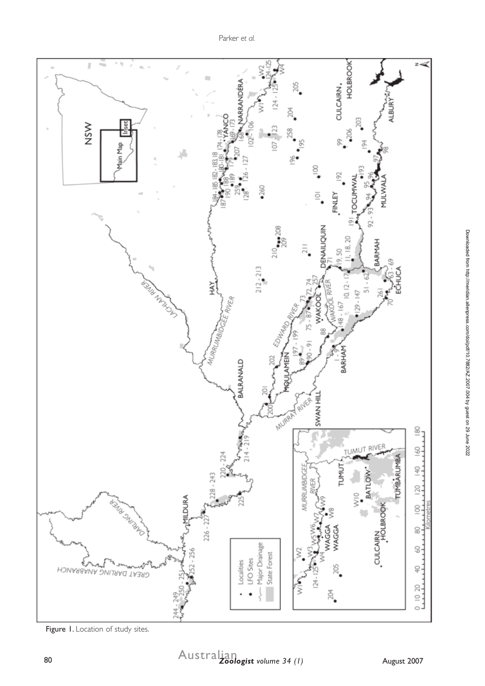

Figure 1. Location of study sites.

Downloaded from http://meridian.allenpress.com/doi/pdf/10.7882/AZ.2007.004 by guest on 29 June 2022

Downloaded from http://meridian.allenpress.com/doi/pdf/10.7882/AZ.2007.004 by guest on 29 June 2022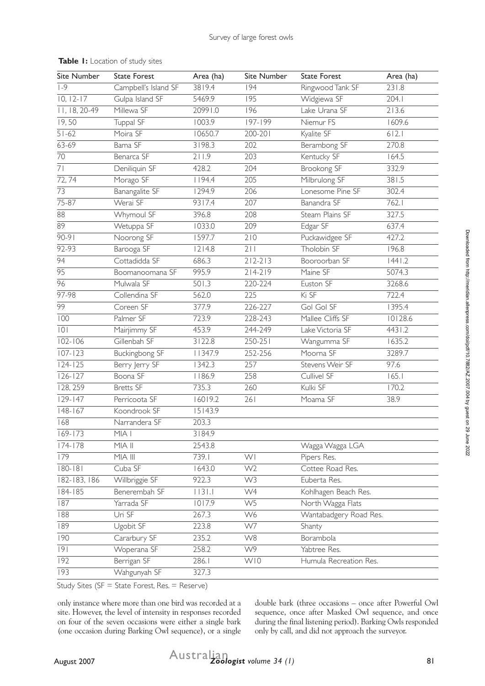| Site Number     | <b>State Forest</b>  | Area (ha) | Site Number      | <b>State Forest</b>    | Area (ha) |
|-----------------|----------------------|-----------|------------------|------------------------|-----------|
| $ -9$           | Campbell's Island SF | 3819.4    | 194              | Ringwood Tank SF       | 231.8     |
| $10, 12-17$     | Gulpa Island SF      | 5469.9    | $\overline{195}$ | Widgiewa SF            | 204.1     |
| 11, 18, 20-49   | Millewa SF           | 20991.0   | 196              | Lake Urana SF          | 213.6     |
| 19,50           | Tuppal SF            | 1003.9    | 197-199          | Niemur FS              | 1609.6    |
| $51 - 62$       | Moira SF             | 10650.7   | 200-201          | Kyalite SF             | 6 2.1     |
| 63-69           | Bama SF              | 3198.3    | 202              | Berambong SF           | 270.8     |
| 70              | Benarca SF           | 211.9     | 203              | Kentucky SF            | 164.5     |
| $\overline{71}$ | Deniliquin SF        | 428.2     | 204              | Brookong SF            | 332.9     |
| 72, 74          | Morago SF            | 1194.4    | 205              | Milbrulong SF          | 381.5     |
| $\overline{73}$ | Banangalite SF       | 1294.9    | 206              | Lonesome Pine SF       | 302.4     |
| 75-87           | Werai SF             | 9317.4    | 207              | Banandra SF            | 762.1     |
| 88              | Whymoul SF           | 396.8     | 208              | Steam Plains SF        | 327.5     |
| $\overline{89}$ | Wetuppa SF           | 1033.0    | 209              | Edgar SF               | 637.4     |
| $90-91$         | Noorong SF           | 1597.7    | 210              | Puckawidgee SF         | 427.2     |
| 92-93           | Barooga SF           | 1214.8    | 211              | Tholobin SF            | 196.8     |
| $\overline{94}$ | Cottadidda SF        | 686.3     | $212 - 213$      | Booroorban SF          | 1441.2    |
| $\overline{95}$ | Boomanoomana SF      | 995.9     | $214 - 219$      | Maine SF               | 5074.3    |
| 96              | Mulwala SF           | 501.3     | 220-224          | Euston SF              | 3268.6    |
| $97 - 98$       | Collendina SF        | 562.0     | 225              | Ki SF                  | 722.4     |
| 99              | Coreen SF            | 377.9     | 226-227          | Gol Gol SF             | 1395.4    |
| 100             | Palmer SF            | 723.9     | 228-243          | Mallee Cliffs SF       | 10128.6   |
| 0               | Mairjimmy SF         | 453.9     | 244-249          | Lake Victoria SF       | 4431.2    |
| $102 - 106$     | Gillenbah SF         | 3122.8    | 250-251          | Wangumma SF            | 1635.2    |
| $107 - 123$     | Buckingbong SF       | 347.9     | 252-256          | Moorna SF              | 3289.7    |
| $124 - 125$     | Berry Jerry SF       | 1342.3    | 257              | Stevens Weir SF        | 97.6      |
| $126 - 127$     | Boona SF             | 1186.9    | 258              | Cullivel SF            | 165.1     |
| 128, 259        | Bretts SF            | 735.3     | 260              | Kulki SF               | 170.2     |
| $129 - 147$     | Perricoota SF        | 16019.2   | 261              | Moama SF               | 38.9      |
| $148 - 167$     | Koondrook SF         | 15143.9   |                  |                        |           |
| 168             | Narrandera SF        | 203.3     |                  |                        |           |
| $169 - 173$     | MIA I                | 3184.9    |                  |                        |           |
| $174 - 178$     | MIA II               | 2543.8    |                  | Wagga Wagga LGA        |           |
| 179             | MIA III              | 739.1     | WI               | Pipers Res.            |           |
| $180 - 181$     | Cuba SF              | 1643.0    | W <sub>2</sub>   | Cottee Road Res.       |           |
| 182-183, 186    | Willbriggie SF       | 922.3     | W3               | Euberta Res.           |           |
| $184 - 185$     | Benerembah SF        | 1131.1    | W4               | Kohlhagen Beach Res.   |           |
| 187             | Yarrada SF           | 1017.9    | W <sub>5</sub>   | North Wagga Flats      |           |
| 188             | Uri SF               | 267.3     | W6               | Wantabadgery Road Res. |           |
| 189             | Ugobit SF            | 223.8     | W7               | Shanty                 |           |
| 190             | Cararbury SF         | 235.2     | W8               | Borambola              |           |
| 9               | Woperana SF          | 258.2     | W9               | Yabtree Res.           |           |
| 192             | Berrigan SF          | 286.1     | W10              | Humula Recreation Res. |           |
| 193             | Wahgunyah SF         | 327.3     |                  |                        |           |

#### **Table 1:** Location of study sites

Study Sites ( $SF = State Forest$ , Res. = Reserve)

only instance where more than one bird was recorded at a site. However, the level of intensity in responses recorded on four of the seven occasions were either a single bark (one occasion during Barking Owl sequence), or a single

double bark (three occasions – once after Powerful Owl sequence, once after Masked Owl sequence, and once during the final listening period). Barking Owls responded only by call, and did not approach the surveyor.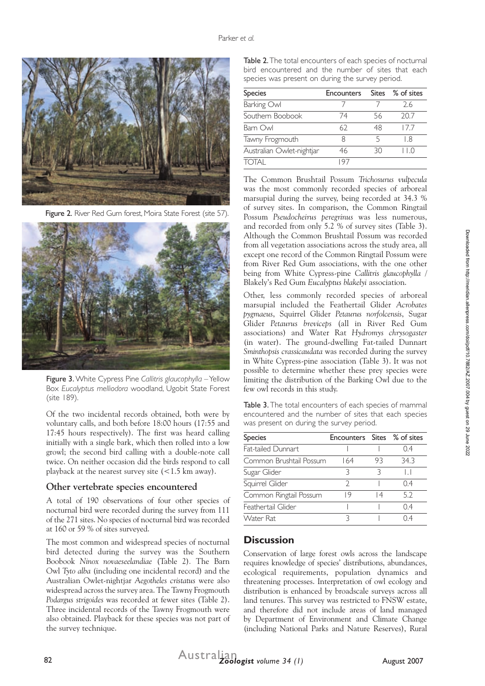

Figure 2. River Red Gum forest. Moira State Forest (site 57).



Figure 3. White Cypress Pine *Callitris glaucophylla* – Yellow Box *Eucalyptus melliodora* woodland, Ugobit State Forest (site 189).

Of the two incidental records obtained, both were by voluntary calls, and both before 18:00 hours (17:55 and 17:45 hours respectively). The first was heard calling initially with a single bark, which then rolled into a low growl; the second bird calling with a double-note call twice. On neither occasion did the birds respond to call playback at the nearest survey site (<1.5 km away).

#### **Other vertebrate species encountered**

A total of 190 observations of four other species of nocturnal bird were recorded during the survey from 111 of the 271 sites. No species of nocturnal bird was recorded at 160 or 59 % of sites surveyed.

The most common and widespread species of nocturnal bird detected during the survey was the Southern Boobook *Ninox novaeseelandiae* (Table 2)*.* The Barn Owl *Tyto alba* (including one incidental record) and the Australian Owlet-nightjar *Aegotheles cristatus* were also widespread across the survey area. The Tawny Frogmouth *Podargus strigoides* was recorded at fewer sites (Table 2). Three incidental records of the Tawny Frogmouth were also obtained. Playback for these species was not part of the survey technique.

Table 2. The total encounters of each species of nocturnal bird encountered and the number of sites that each species was present on during the survey period.

| <b>Species</b>            | <b>Encounters</b> |    | Sites % of sites                              |
|---------------------------|-------------------|----|-----------------------------------------------|
| Barking Owl               |                   |    | 2.6                                           |
| Southern Boobook          | 74                | 56 | 20.7                                          |
| Barn Owl                  | 62                | 48 | 177                                           |
| Tawny Frogmouth           | Χ                 | 5  | l 8                                           |
| Australian Owlet-nightjar | 46                | 30 | $\left( \begin{array}{c} \end{array} \right)$ |
| TOTAI                     | 97                |    |                                               |

The Common Brushtail Possum *Trichosurus vulpecula* was the most commonly recorded species of arboreal marsupial during the survey, being recorded at 34.3 % of survey sites. In comparison, the Common Ringtail Possum *Pseudocheirus peregrinus* was less numerous, and recorded from only 5.2 % of survey sites (Table 3). Although the Common Brushtail Possum was recorded from all vegetation associations across the study area, all except one record of the Common Ringtail Possum were from River Red Gum associations, with the one other being from White Cypress-pine *Callitris glaucophylla* / Blakely's Red Gum *Eucalyptus blakelyi* association.

Other, less commonly recorded species of arboreal marsupial included the Feathertail Glider *Acrobates pygmaeus*, Squirrel Glider *Petaurus norfolcensis*, Sugar Glider *Petaurus breviceps* (all in River Red Gum associations) and Water Rat *Hydromys chrysogaster* (in water). The ground-dwelling Fat-tailed Dunnart *Sminthopsis crassicaudata* was recorded during the survey in White Cypress-pine association (Table 3). It was not possible to determine whether these prey species were limiting the distribution of the Barking Owl due to the few owl records in this study.

Table 3. The total encounters of each species of mammal encountered and the number of sites that each species was present on during the survey period.

| <b>Species</b>          | Encounters Sites % of sites |    |         |
|-------------------------|-----------------------------|----|---------|
| Fat-tailed Dunnart      |                             |    | 04      |
| Common Brushtail Possum | 164                         | 93 | 34.3    |
| Sugar Glider            | ς                           |    | $\perp$ |
| Squirrel Glider         | つ                           |    | 04      |
| Common Ringtail Possum  | 19                          | 14 | 5.2     |
| Feathertail Glider      |                             |    | 04      |
| Water Rat               |                             |    |         |

#### **Discussion**

Conservation of large forest owls across the landscape requires knowledge of species' distributions, abundances, ecological requirements, population dynamics and threatening processes. Interpretation of owl ecology and distribution is enhanced by broadscale surveys across all land tenures. This survey was restricted to FNSW estate, and therefore did not include areas of land managed by Department of Environment and Climate Change (including National Parks and Nature Reserves), Rural Downloaded from http://meridian.allenpress.com/doi/pdf/10.7882/AZ.2007.004 by guest on 29 June 2022

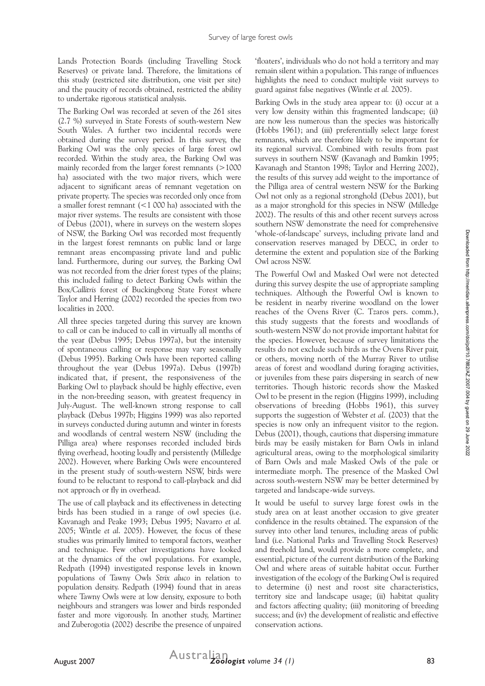Lands Protection Boards (including Travelling Stock Reserves) or private land. Therefore, the limitations of this study (restricted site distribution, one visit per site) and the paucity of records obtained, restricted the ability to undertake rigorous statistical analysis.

The Barking Owl was recorded at seven of the 261 sites (2.7 %) surveyed in State Forests of south-western New South Wales. A further two incidental records were obtained during the survey period. In this survey, the Barking Owl was the only species of large forest owl recorded. Within the study area, the Barking Owl was mainly recorded from the larger forest remnants (>1000 ha) associated with the two major rivers, which were adjacent to significant areas of remnant vegetation on private property. The species was recorded only once from a smaller forest remnant (<1 000 ha) associated with the major river systems. The results are consistent with those of Debus (2001), where in surveys on the western slopes of NSW, the Barking Owl was recorded most frequently in the largest forest remnants on public land or large remnant areas encompassing private land and public land. Furthermore, during our survey, the Barking Owl was not recorded from the drier forest types of the plains; this included failing to detect Barking Owls within the Box/*Callitris* forest of Buckingbong State Forest where Taylor and Herring (2002) recorded the species from two localities in 2000.

All three species targeted during this survey are known to call or can be induced to call in virtually all months of the year (Debus 1995; Debus 1997a), but the intensity of spontaneous calling or response may vary seasonally (Debus 1995). Barking Owls have been reported calling throughout the year (Debus 1997a). Debus (1997b) indicated that, if present, the responsiveness of the Barking Owl to playback should be highly effective, even in the non-breeding season, with greatest frequency in July-August. The well-known strong response to call playback (Debus 1997b; Higgins 1999) was also reported in surveys conducted during autumn and winter in forests and woodlands of central western NSW (including the Pilliga area) where responses recorded included birds flying overhead, hooting loudly and persistently (Milledge 2002). However, where Barking Owls were encountered in the present study of south-western NSW, birds were found to be reluctant to respond to call-playback and did not approach or fly in overhead.

The use of call playback and its effectiveness in detecting birds has been studied in a range of owl species (i.e. Kavanagh and Peake 1993; Debus 1995; Navarro *et al.*  2005; Wintle *et al*. 2005). However, the focus of these studies was primarily limited to temporal factors, weather and technique. Few other investigations have looked at the dynamics of the owl populations. For example, Redpath (1994) investigated response levels in known populations of Tawny Owls *Strix aluco* in relation to population density. Redpath (1994) found that in areas where Tawny Owls were at low density, exposure to both neighbours and strangers was lower and birds responded faster and more vigorously. In another study, Martinez and Zuberogotia (2002) describe the presence of unpaired

'floaters', individuals who do not hold a territory and may remain silent within a population. This range of influences highlights the need to conduct multiple visit surveys to guard against false negatives (Wintle *et al.* 2005).

Barking Owls in the study area appear to: (i) occur at a very low density within this fragmented landscape; (ii) are now less numerous than the species was historically (Hobbs 1961); and (iii) preferentially select large forest remnants, which are therefore likely to be important for its regional survival. Combined with results from past surveys in southern NSW (Kavanagh and Bamkin 1995; Kavanagh and Stanton 1998; Taylor and Herring 2002), the results of this survey add weight to the importance of the Pilliga area of central western NSW for the Barking Owl not only as a regional stronghold (Debus 2001), but as a major stronghold for this species in NSW (Milledge 2002). The results of this and other recent surveys across southern NSW demonstrate the need for comprehensive 'whole-of-landscape' surveys, including private land and conservation reserves managed by DECC, in order to determine the extent and population size of the Barking Owl across NSW.

The Powerful Owl and Masked Owl were not detected during this survey despite the use of appropriate sampling techniques. Although the Powerful Owl is known to be resident in nearby riverine woodland on the lower reaches of the Ovens River (C. Tzaros pers. comm.), this study suggests that the forests and woodlands of south-western NSW do not provide important habitat for the species. However, because of survey limitations the results do not exclude such birds as the Ovens River pair, or others, moving north of the Murray River to utilise areas of forest and woodland during foraging activities, or juveniles from these pairs dispersing in search of new territories. Though historic records show the Masked Owl to be present in the region (Higgins 1999), including observations of breeding (Hobbs 1961), this survey supports the suggestion of Webster *et al*. (2003) that the species is now only an infrequent visitor to the region. Debus (2001), though, cautions that dispersing immature birds may be easily mistaken for Barn Owls in inland agricultural areas, owing to the morphological similarity of Barn Owls and male Masked Owls of the pale or intermediate morph. The presence of the Masked Owl across south-western NSW may be better determined by targeted and landscape-wide surveys.

It would be useful to survey large forest owls in the study area on at least another occasion to give greater confidence in the results obtained. The expansion of the survey into other land tenures, including areas of public land (i.e. National Parks and Travelling Stock Reserves) and freehold land, would provide a more complete, and essential, picture of the current distribution of the Barking Owl and where areas of suitable habitat occur. Further investigation of the ecology of the Barking Owl is required to determine (i) nest and roost site characteristics, territory size and landscape usage; (ii) habitat quality and factors affecting quality; (iii) monitoring of breeding success; and (iv) the development of realistic and effective conservation actions.